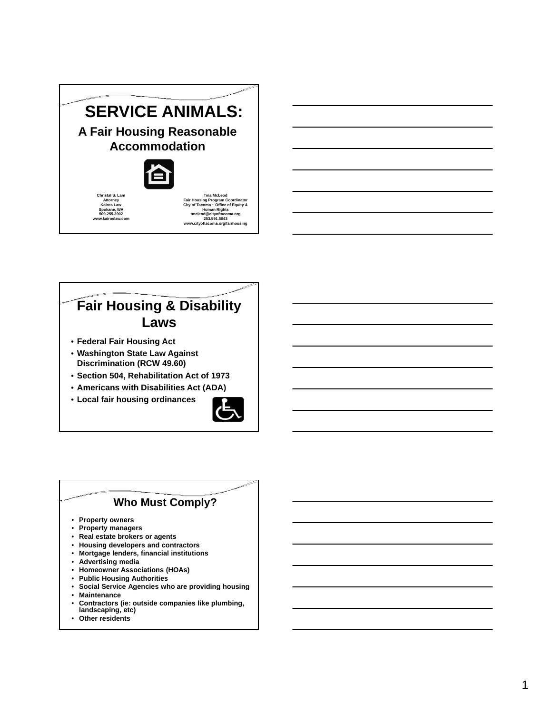# **SERVICE ANIMALS:**

**A Fair Housing Reasonable Accommodation**



**Christal S. Lam Attorney Kairos Law Spokane, WA 509.255.3902 www.kairoslaw.com**

**Tina McLeod Fair Housing Program Coordinator City of Tacoma ~ Office of Equity & Human Rights tmcleod@cityoftacoma.org 253.591.5043 www.cityoftacoma.org/fairhousing**

## **Fair Housing & Disability Laws**

- **Federal Fair Housing Act**
- **Washington State Law Against Discrimination (RCW 49.60)**
- **Section 504, Rehabilitation Act of 1973**
- **Americans with Disabilities Act (ADA)**
- **Local fair housing ordinances**



### **Who Must Comply?**

- **Property owners**
- **Property managers**
- **Real estate brokers or agents**
- **Housing developers and contractors**
- **Mortgage lenders, financial institutions**
- **Advertising media**
- **Homeowner Associations (HOAs)**
- **Public Housing Authorities**
- **Social Service Agencies who are providing housing**
- **Maintenance**
- **Contractors (ie: outside companies like plumbing,**
- **landscaping, etc)**
- **Other residents**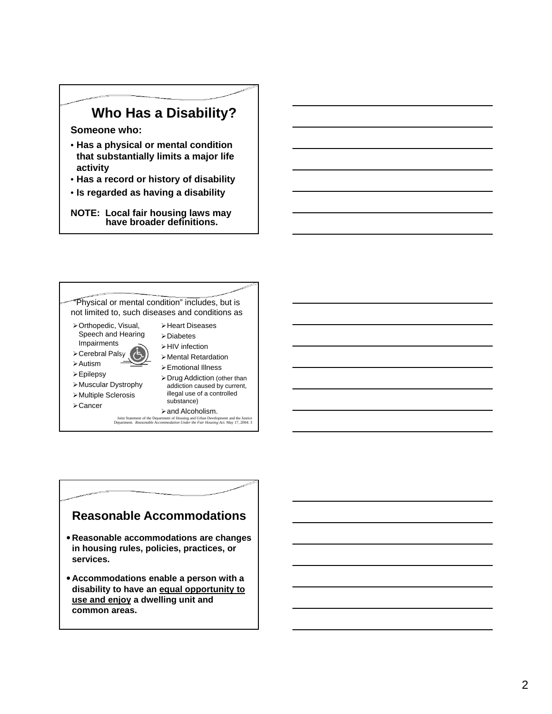## **Who Has a Disability?**

#### **Someone who:**

- **Has a physical or mental condition that substantially limits a major life activity**
- **Has a record or history of disability**
- **Is regarded as having a disability**

**NOTE: Local fair housing laws may have broader definitions.**



### **Reasonable Accommodations**

- **Reasonable accommodations are changes in housing rules, policies, practices, or services.**
- **Accommodations enable a person with a disability to have an equal opportunity to use and enjoy a dwelling unit and common areas.**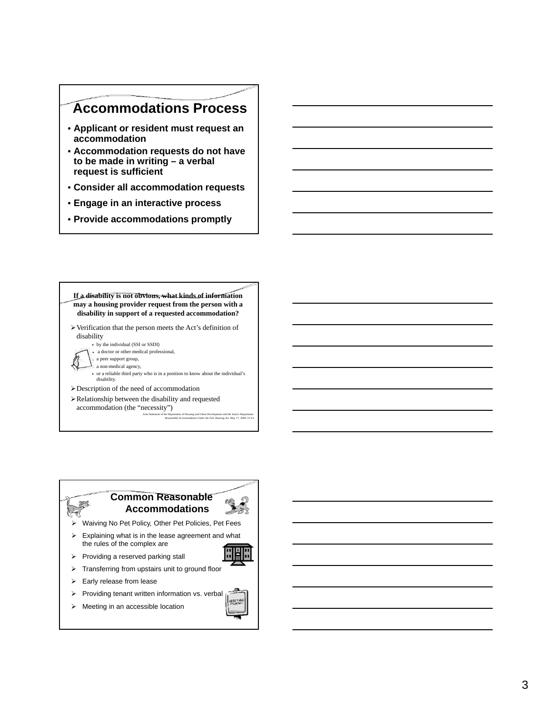## **Accommodations Process**

- **Applicant or resident must request an accommodation**
- **Accommodation requests do not have to be made in writing – a verbal request is sufficient**
- **Consider all accommodation requests**
- **Engage in an interactive process**
- **Provide accommodations promptly**



#### **Common Reasonable Accommodations**



- $\triangleright$  Explaining what is in the lease agreement and what the rules of the complex are
- $\triangleright$  Providing a reserved parking stall
- > Transferring from upstairs unit to ground floor
- $\triangleright$  Early release from lease
- $\triangleright$  Providing tenant written information vs. verbal
- $\triangleright$  Meeting in an accessible location

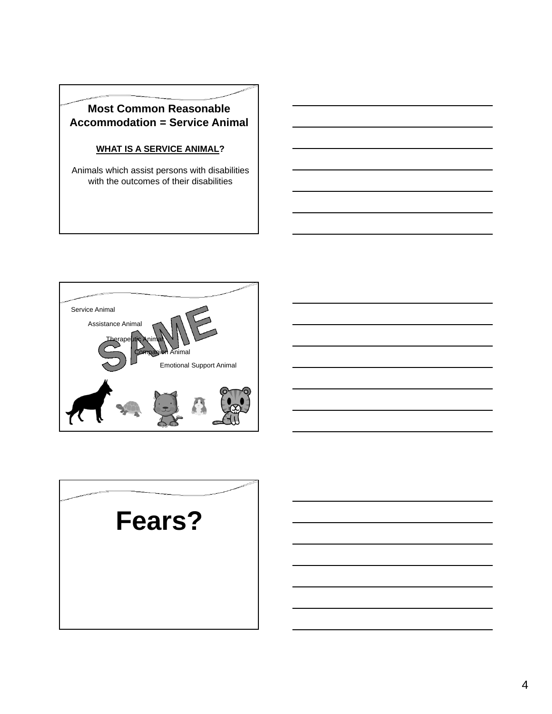### **Most Common Reasonable Accommodation = Service Animal**

### **WHAT IS A SERVICE ANIMAL?**

Animals which assist persons with disabilities with the outcomes of their disabilities





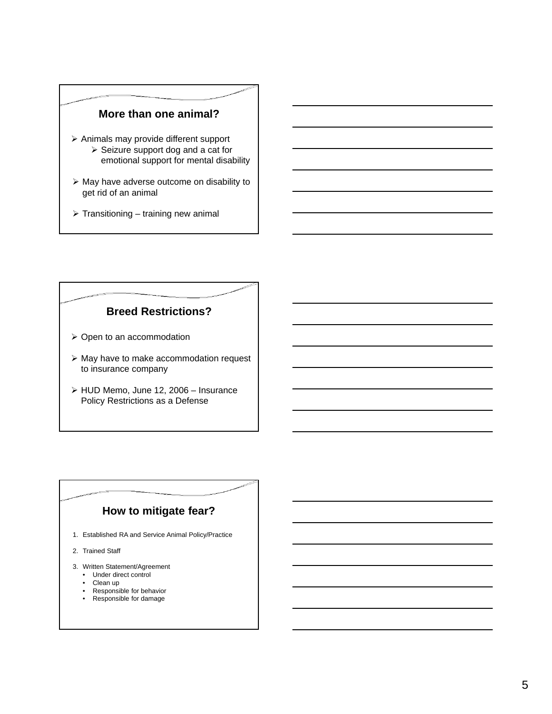### **More than one animal?**

- $\triangleright$  Animals may provide different support  $\triangleright$  Seizure support dog and a cat for emotional support for mental disability
- $\triangleright$  May have adverse outcome on disability to get rid of an animal
- $\triangleright$  Transitioning training new animal

### **Breed Restrictions?**

- $\triangleright$  Open to an accommodation
- May have to make accommodation request to insurance company
- HUD Memo, June 12, 2006 Insurance Policy Restrictions as a Defense

### **How to mitigate fear?**

- 1. Established RA and Service Animal Policy/Practice
- 2. Trained Staff
- 3. Written Statement/Agreement
	- Under direct control
	- Clean up • Responsible for behavior
	- Responsible for damage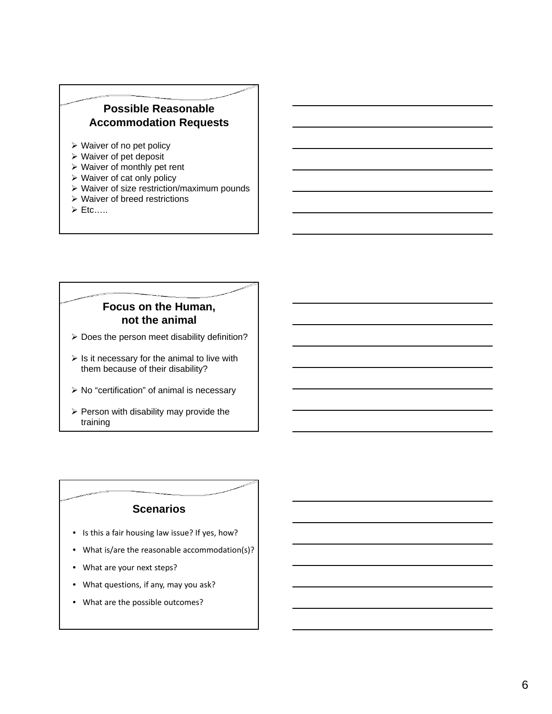### **Possible Reasonable Accommodation Requests**

- $\triangleright$  Waiver of no pet policy
- $\triangleright$  Waiver of pet deposit
- Waiver of monthly pet rent
- Waiver of cat only policy
- Waiver of size restriction/maximum pounds
- Waiver of breed restrictions
- $\triangleright$  Etc....

### **Focus on the Human, not the animal**

- $\triangleright$  Does the person meet disability definition?
- $\triangleright$  Is it necessary for the animal to live with them because of their disability?
- $\triangleright$  No "certification" of animal is necessary
- $\triangleright$  Person with disability may provide the training

### **Scenarios**

- Is this a fair housing law issue? If yes, how?
- What is/are the reasonable accommodation(s)?
- What are your next steps?
- What questions, if any, may you ask?
- What are the possible outcomes?